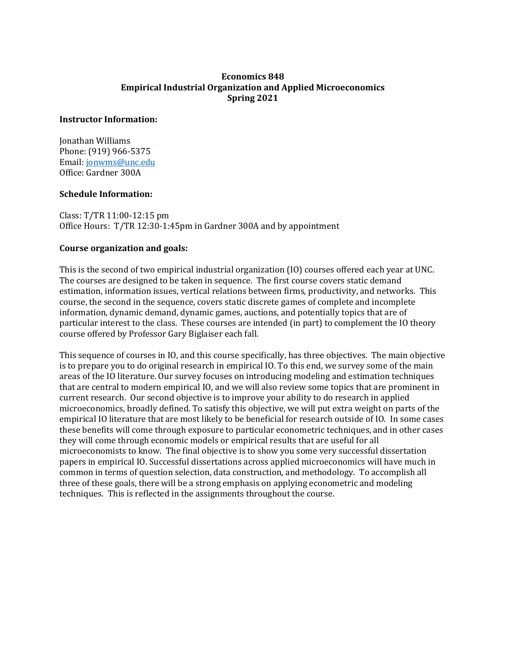## **Economics 848 Empirical Industrial Organization and Applied Microeconomics Spring 2021**

#### **Instructor Information:**

Jonathan Williams Phone: (919) 966-5375 Email: [jonwms@unc.edu](mailto:jonwms@unc.edu) Office: Gardner 300A

### **Schedule Information:**

Class: T/TR 11:00-12:15 pm Office Hours: T/TR 12:30-1:45pm in Gardner 300A and by appointment

### **Course organization and goals:**

This is the second of two empirical industrial organization (IO) courses offered each year at UNC. The courses are designed to be taken in sequence. The first course covers static demand estimation, information issues, vertical relations between firms, productivity, and networks. This course, the second in the sequence, covers static discrete games of complete and incomplete information, dynamic demand, dynamic games, auctions, and potentially topics that are of particular interest to the class. These courses are intended (in part) to complement the IO theory course offered by Professor Gary Biglaiser each fall.

This sequence of courses in IO, and this course specifically, has three objectives. The main objective is to prepare you to do original research in empirical IO. To this end, we survey some of the main areas of the IO literature. Our survey focuses on introducing modeling and estimation techniques that are central to modern empirical IO, and we will also review some topics that are prominent in current research. Our second objective is to improve your ability to do research in applied microeconomics, broadly defined. To satisfy this objective, we will put extra weight on parts of the empirical IO literature that are most likely to be beneficial for research outside of IO. In some cases these benefits will come through exposure to particular econometric techniques, and in other cases they will come through economic models or empirical results that are useful for all microeconomists to know. The final objective is to show you some very successful dissertation papers in empirical IO. Successful dissertations across applied microeconomics will have much in common in terms of question selection, data construction, and methodology. To accomplish all three of these goals, there will be a strong emphasis on applying econometric and modeling techniques. This is reflected in the assignments throughout the course.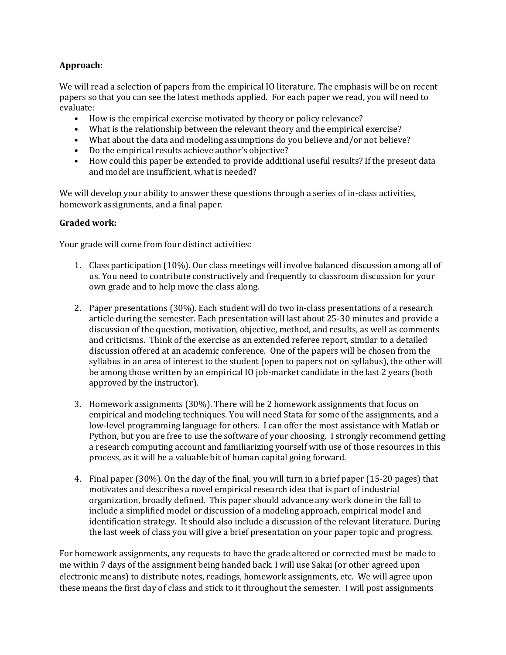# **Approach:**

We will read a selection of papers from the empirical IO literature. The emphasis will be on recent papers so that you can see the latest methods applied. For each paper we read, you will need to evaluate:

- How is the empirical exercise motivated by theory or policy relevance?
- What is the relationship between the relevant theory and the empirical exercise?
- What about the data and modeling assumptions do you believe and/or not believe?
- Do the empirical results achieve author's objective?
- How could this paper be extended to provide additional useful results? If the present data and model are insufficient, what is needed?

We will develop your ability to answer these questions through a series of in-class activities, homework assignments, and a final paper.

### **Graded work:**

Your grade will come from four distinct activities:

- 1. Class participation (10%). Our class meetings will involve balanced discussion among all of us. You need to contribute constructively and frequently to classroom discussion for your own grade and to help move the class along.
- 2. Paper presentations (30%). Each student will do two in-class presentations of a research article during the semester. Each presentation will last about 25-30 minutes and provide a discussion of the question, motivation, objective, method, and results, as well as comments and criticisms. Think of the exercise as an extended referee report, similar to a detailed discussion offered at an academic conference. One of the papers will be chosen from the syllabus in an area of interest to the student (open to papers not on syllabus), the other will be among those written by an empirical IO job-market candidate in the last 2 years (both approved by the instructor).
- 3. Homework assignments (30%). There will be 2 homework assignments that focus on empirical and modeling techniques. You will need Stata for some of the assignments, and a low-level programming language for others. I can offer the most assistance with Matlab or Python, but you are free to use the software of your choosing. I strongly recommend getting a research computing account and familiarizing yourself with use of those resources in this process, as it will be a valuable bit of human capital going forward.
- 4. Final paper (30%). On the day of the final, you will turn in a brief paper (15-20 pages) that motivates and describes a novel empirical research idea that is part of industrial organization, broadly defined. This paper should advance any work done in the fall to include a simplified model or discussion of a modeling approach, empirical model and identification strategy. It should also include a discussion of the relevant literature. During the last week of class you will give a brief presentation on your paper topic and progress.

For homework assignments, any requests to have the grade altered or corrected must be made to me within 7 days of the assignment being handed back. I will use Sakai (or other agreed upon electronic means) to distribute notes, readings, homework assignments, etc. We will agree upon these means the first day of class and stick to it throughout the semester. I will post assignments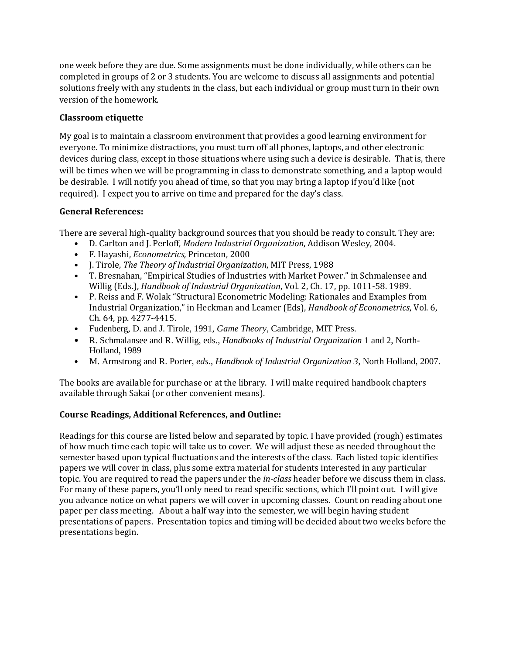one week before they are due. Some assignments must be done individually, while others can be completed in groups of 2 or 3 students. You are welcome to discuss all assignments and potential solutions freely with any students in the class, but each individual or group must turn in their own version of the homework.

# **Classroom etiquette**

My goal is to maintain a classroom environment that provides a good learning environment for everyone. To minimize distractions, you must turn off all phones, laptops, and other electronic devices during class, except in those situations where using such a device is desirable. That is, there will be times when we will be programming in class to demonstrate something, and a laptop would be desirable. I will notify you ahead of time, so that you may bring a laptop if you'd like (not required). I expect you to arrive on time and prepared for the day's class.

# **General References:**

There are several high-quality background sources that you should be ready to consult. They are:

- D. Carlton and J. Perloff, *Modern Industrial Organization*, Addison Wesley, 2004.
- F. Hayashi, *Econometrics,* Princeton, 2000
- J. Tirole, *The Theory of Industrial Organization*, MIT Press, 1988
- T. Bresnahan, "Empirical Studies of Industries with Market Power." in Schmalensee and Willig (Eds.), *Handbook of Industrial Organization*, Vol. 2, Ch. 17, pp. 1011-58. 1989.
- P. Reiss and F. Wolak "Structural Econometric Modeling: Rationales and Examples from Industrial Organization," in Heckman and Leamer (Eds), *Handbook of Econometrics*, Vol. 6, Ch. 64, pp. 4277-4415.
- Fudenberg, D. and J. Tirole, 1991, *Game Theory*, Cambridge, MIT Press.
- R. Schmalansee and R. Willig, eds., *Handbooks of Industrial Organization* 1 and 2, North-Holland, 1989
- M. Armstrong and R. Porter, *eds.*, *Handbook of Industrial Organization 3*, North Holland, 2007.

The books are available for purchase or at the library. I will make required handbook chapters available through Sakai (or other convenient means).

## **Course Readings, Additional References, and Outline:**

Readings for this course are listed below and separated by topic. I have provided (rough) estimates of how much time each topic will take us to cover. We will adjust these as needed throughout the semester based upon typical fluctuations and the interests of the class. Each listed topic identifies papers we will cover in class, plus some extra material for students interested in any particular topic. You are required to read the papers under the *in-class* header before we discuss them in class. For many of these papers, you'll only need to read specific sections, which I'll point out. I will give you advance notice on what papers we will cover in upcoming classes. Count on reading about one paper per class meeting. About a half way into the semester, we will begin having student presentations of papers. Presentation topics and timing will be decided about two weeks before the presentations begin.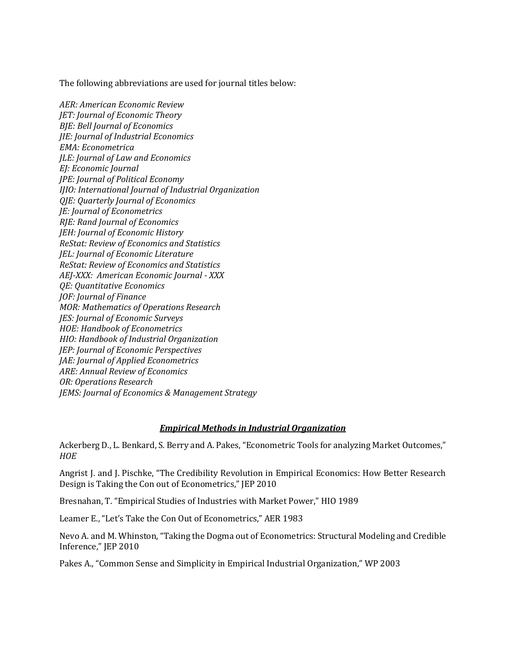The following abbreviations are used for journal titles below:

*AER: American Economic Review JET: Journal of Economic Theory BJE: Bell Journal of Economics JIE: Journal of Industrial Economics EMA: Econometrica JLE: Journal of Law and Economics EJ: Economic Journal JPE: Journal of Political Economy IJIO: International Journal of Industrial Organization QJE: Quarterly Journal of Economics JE: Journal of Econometrics RJE: Rand Journal of Economics JEH: Journal of Economic History ReStat: Review of Economics and Statistics JEL: Journal of Economic Literature ReStat: Review of Economics and Statistics AEJ-XXX: American Economic Journal - XXX QE: Quantitative Economics JOF: Journal of Finance MOR: Mathematics of Operations Research JES: Journal of Economic Surveys HOE: Handbook of Econometrics HIO: Handbook of Industrial Organization JEP: Journal of Economic Perspectives JAE: Journal of Applied Econometrics ARE: Annual Review of Economics OR: Operations Research JEMS: Journal of Economics & Management Strategy*

### *Empirical Methods in Industrial Organization*

Ackerberg D., L. Benkard, S. Berry and A. Pakes, "Econometric Tools for analyzing Market Outcomes," *HOE*

Angrist J. and J. Pischke, "The Credibility Revolution in Empirical Economics: How Better Research Design is Taking the Con out of Econometrics," JEP 2010

Bresnahan, T. "Empirical Studies of Industries with Market Power," HIO 1989

Leamer E., "Let's Take the Con Out of Econometrics," AER 1983

Nevo A. and M. Whinston, "Taking the Dogma out of Econometrics: Structural Modeling and Credible Inference," JEP 2010

Pakes A., "Common Sense and Simplicity in Empirical Industrial Organization," WP 2003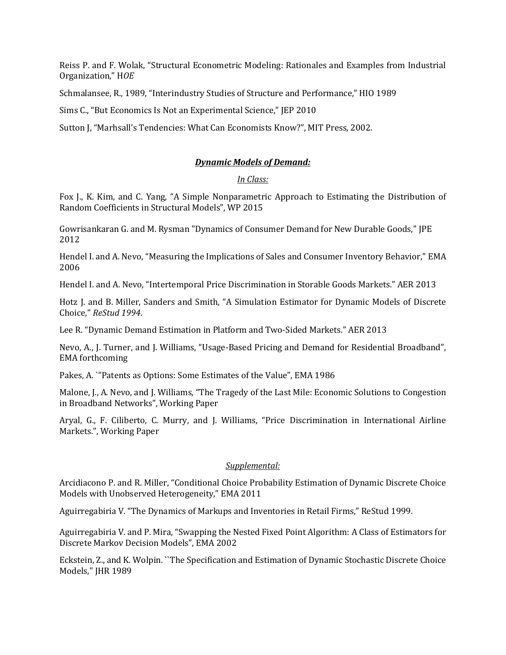Reiss P. and F. Wolak, "Structural Econometric Modeling: Rationales and Examples from Industrial Organization," H*OE*

Schmalansee, R., 1989, "Interindustry Studies of Structure and Performance," HIO 1989

Sims C., "But Economics Is Not an Experimental Science," JEP 2010

Sutton J, "Marhsall's Tendencies: What Can Economists Know?", MIT Press, 2002.

#### *Dynamic Models of Demand:*

#### *In Class:*

Fox J., K. Kim, and C. Yang, "A Simple Nonparametric Approach to Estimating the Distribution of Random Coefficients in Structural Models", WP 2015

Gowrisankaran G. and M. Rysman "Dynamics of Consumer Demand for New Durable Goods," JPE 2012

Hendel I. and A. Nevo, "Measuring the Implications of Sales and Consumer Inventory Behavior," EMA 2006

Hendel I. and A. Nevo, "Intertemporal Price Discrimination in Storable Goods Markets." AER 2013

Hotz J. and B. Miller, Sanders and Smith, "A Simulation Estimator for Dynamic Models of Discrete Choice," *ReStud 1994*.

Lee R. "Dynamic Demand Estimation in Platform and Two-Sided Markets." AER 2013

Nevo, A., J. Turner, and J. Williams, "Usage-Based Pricing and Demand for Residential Broadband", EMA forthcoming

Pakes, A. `"Patents as Options: Some Estimates of the Value", EMA 1986

Malone, J., A. Nevo, and J. Williams, "The Tragedy of the Last Mile: Economic Solutions to Congestion in Broadband Networks", Working Paper

Aryal, G., F. Ciliberto, C. Murry, and J. Williams, "Price Discrimination in International Airline Markets.", Working Paper

### *Supplemental:*

Arcidiacono P. and R. Miller, "Conditional Choice Probability Estimation of Dynamic Discrete Choice Models with Unobserved Heterogeneity," EMA 2011

Aguirregabiria V. "The Dynamics of Markups and Inventories in Retail Firms," ReStud 1999.

Aguirregabiria V. and P. Mira, "Swapping the Nested Fixed Point Algorithm: A Class of Estimators for Discrete Markov Decision Models", EMA 2002

Eckstein, Z., and K. Wolpin. ``The Specification and Estimation of Dynamic Stochastic Discrete Choice Models," JHR 1989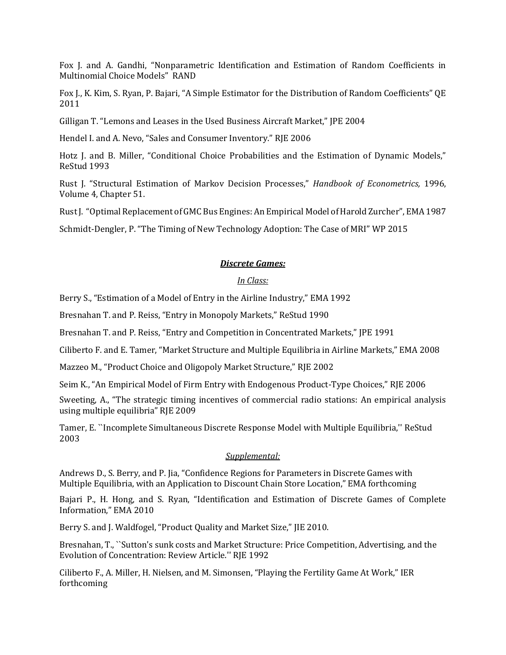Fox J. and A. Gandhi, "Nonparametric Identification and Estimation of Random Coefficients in Multinomial Choice Models" RAND

Fox J., K. Kim, S. Ryan, P. Bajari, "A Simple Estimator for the Distribution of Random Coefficients" QE 2011

Gilligan T. "Lemons and Leases in the Used Business Aircraft Market," JPE 2004

Hendel I. and A. Nevo, "Sales and Consumer Inventory." RJE 2006

Hotz J. and B. Miller, "Conditional Choice Probabilities and the Estimation of Dynamic Models," ReStud 1993

Rust J. "Structural Estimation of Markov Decision Processes," *Handbook of Econometrics,* 1996, Volume 4, Chapter 51.

Rust J. "Optimal Replacement of GMC Bus Engines: An Empirical Model of Harold Zurcher", EMA 1987

Schmidt-Dengler, P. "The Timing of New Technology Adoption: The Case of MRI" WP 2015

#### *Discrete Games:*

### *In Class:*

Berry S., "Estimation of a Model of Entry in the Airline Industry," EMA 1992

Bresnahan T. and P. Reiss, "Entry in Monopoly Markets," ReStud 1990

Bresnahan T. and P. Reiss, "Entry and Competition in Concentrated Markets," JPE 1991

Ciliberto F. and E. Tamer, "Market Structure and Multiple Equilibria in Airline Markets," EMA 2008

Mazzeo M., "Product Choice and Oligopoly Market Structure," RJE 2002

Seim K., "An Empirical Model of Firm Entry with Endogenous Product-Type Choices," RJE 2006

Sweeting, A., "The strategic timing incentives of commercial radio stations: An empirical analysis using multiple equilibria" RJE 2009

Tamer, E. ``Incomplete Simultaneous Discrete Response Model with Multiple Equilibria,'' ReStud 2003

#### *Supplemental:*

Andrews D., S. Berry, and P. Jia, "Confidence Regions for Parameters in Discrete Games with Multiple Equilibria, with an Application to Discount Chain Store Location," EMA forthcoming

Bajari P., H. Hong, and S. Ryan, "Identification and Estimation of Discrete Games of Complete Information," EMA 2010

Berry S. and J. Waldfogel, "Product Quality and Market Size," JIE 2010.

Bresnahan, T., ``Sutton's sunk costs and Market Structure: Price Competition, Advertising, and the Evolution of Concentration: Review Article.'' RJE 1992

Ciliberto F., A. Miller, H. Nielsen, and M. Simonsen, "Playing the Fertility Game At Work," IER forthcoming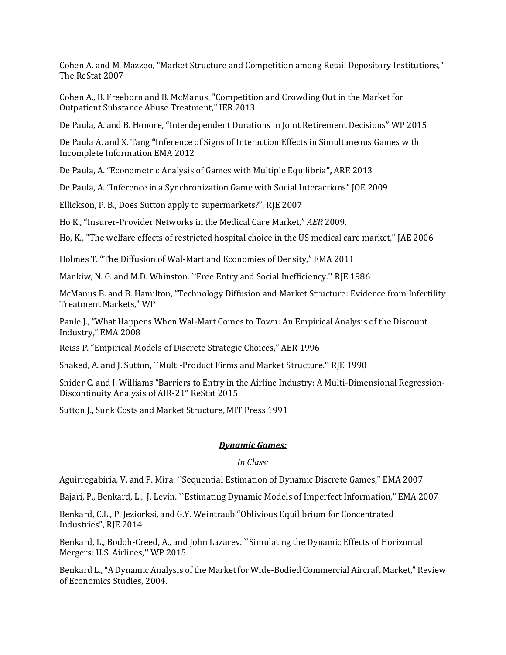Cohen A. and M. Mazzeo, "Market Structure and Competition among Retail Depository Institutions," The ReStat 2007

Cohen A., B. Freeborn and B. McManus, "Competition and Crowding Out in the Market for Outpatient Substance Abuse Treatment," IER 2013

De Paula, A. and B. Honore, "Interdependent Durations in Joint Retirement Decisions" WP 2015

De Paula A. and X. Tang **"**[Inference of Signs of Interaction Effects in Simultaneous Games with](http://onlinelibrary.wiley.com/doi/10.3982/ECTA9216/abstract)  [Incomplete Information](http://onlinelibrary.wiley.com/doi/10.3982/ECTA9216/abstract) EMA 2012

De Paula, A. "[Econometric Analysis of Games with Multiple Equilibria](http://www.annualreviews.org/doi/abs/10.1146/annurev-economics-081612-185944)**",** ARE 2013

De Paula, A. "[Inference in a Synchronization Game with Social Interactions](http://www.sciencedirect.com/science/article/pii/S0304407608001541)**"** JOE 2009

Ellickson, P. B., Does Sutton apply to supermarkets?", RJE 2007

Ho K., "Insurer-Provider Networks in the Medical Care Market," *AER* 2009.

Ho, K., "The welfare effects of restricted hospital choice in the US medical care market," JAE 2006

Holmes T. "The Diffusion of Wal-Mart and Economies of Density," EMA 2011

Mankiw, N. G. and M.D. Whinston. ``Free Entry and Social Inefficiency.'' RJE 1986

McManus B. and B. Hamilton, "Technology Diffusion and Market Structure: Evidence from Infertility Treatment Markets," WP

Panle J., "What Happens When Wal-Mart Comes to Town: An Empirical Analysis of the Discount Industry," EMA 2008

Reiss P. "Empirical Models of Discrete Strategic Choices," AER 1996

Shaked, A. and J. Sutton, ``Multi-Product Firms and Market Structure.'' RJE 1990

Snider C. and J. Williams "Barriers to Entry in the Airline Industry: A Multi-Dimensional Regression-Discontinuity Analysis of AIR-21" ReStat 2015

Sutton J., Sunk Costs and Market Structure, MIT Press 1991

## *Dynamic Games:*

## *In Class:*

Aguirregabiria, V. and P. Mira. ``Sequential Estimation of Dynamic Discrete Games," EMA 2007

Bajari, P., Benkard, L., J. Levin. ``Estimating Dynamic Models of Imperfect Information," EMA 2007

Benkard, C.L., P. Jeziorksi, and G.Y. Weintraub "[Oblivious Equilibrium for Concentrated](http://www.columbia.edu/~gyw2105/GYW/GabrielWeintraub_files/Oblivious_Eq_Concentrated_Industries_RAND.pdf)  [Industries](http://www.columbia.edu/~gyw2105/GYW/GabrielWeintraub_files/Oblivious_Eq_Concentrated_Industries_RAND.pdf)", RJE 2014

Benkard, L., Bodoh-Creed, A., and John Lazarev. ``Simulating the Dynamic Effects of Horizontal Mergers: U.S. Airlines,'' WP 2015

Benkard L., "A Dynamic Analysis of the Market for Wide-Bodied Commercial Aircraft Market," Review of Economics Studies, 2004.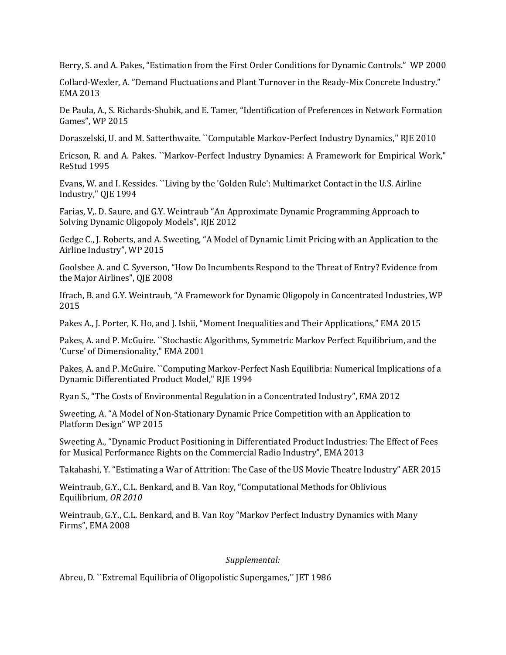Berry, S. and A. Pakes, "Estimation from the First Order Conditions for Dynamic Controls." WP 2000

Collard-Wexler, A. "Demand Fluctuations and Plant Turnover in the Ready-Mix Concrete Industry." EMA 2013

De Paula, A., S. Richards-Shubik, and E. Tamer, "Identification of Preferences in Network Formation Games", WP 2015

Doraszelski, U. and M. Satterthwaite. ``Computable Markov-Perfect Industry Dynamics," RJE 2010

Ericson, R. and A. Pakes. ``Markov-Perfect Industry Dynamics: A Framework for Empirical Work," ReStud 1995

Evans, W. and I. Kessides. ``Living by the 'Golden Rule': Multimarket Contact in the U.S. Airline Industry," QJE 1994

Farias, V,. D. Saure, and G.Y. Weintraub "[An Approximate Dynamic Programming Approach to](http://www.columbia.edu/~gyw2105/GYW/GabrielWeintraub_files/RAND_article.pdf)  [Solving Dynamic Oligopoly Models](http://www.columbia.edu/~gyw2105/GYW/GabrielWeintraub_files/RAND_article.pdf)", RJE 2012

Gedge C., J. Roberts, and A. Sweeting, "A Model of Dynamic Limit Pricing with an Application to the Airline Industry", WP 2015

Goolsbee A. and C. Syverson, "How Do Incumbents Respond to the Threat of Entry? Evidence from the Major Airlines", QJE 2008

Ifrach, B. and G.Y. Weintraub, "[A Framework for Dynamic Oligopoly in Concentrated Industries,](http://www.columbia.edu/~gyw2105/GYW/GabrielWeintraub_files/Paper_MME_Rev_140808-SENT.pdf) WP 2015

Pakes A., J. Porter, K. Ho, and J. Ishii, "Moment Inequalities and Their Applications," EMA 2015

Pakes, A. and P. McGuire. ``Stochastic Algorithms, Symmetric Markov Perfect Equilibrium, and the 'Curse' of Dimensionality," EMA 2001

Pakes, A. and P. McGuire. ``Computing Markov-Perfect Nash Equilibria: Numerical Implications of a Dynamic Differentiated Product Model," RJE 1994

Ryan S., "The Costs of Environmental Regulation in a Concentrated Industry", EMA 2012

Sweeting, A. "A Model of Non-Stationary Dynamic Price Competition with an Application to Platform Design" WP 2015

Sweeting A., "Dynamic Product Positioning in Differentiated Product Industries: The Effect of Fees for Musical Performance Rights on the Commercial Radio Industry", EMA 2013

Takahashi, Y. "Estimating a War of Attrition: The Case of the US Movie Theatre Industry" AER 2015

Weintraub, G.Y., C.L. Benkard, and B. Van Roy, "Computational [Methods for Oblivious](http://www.columbia.edu/~gyw2105/GYW/GabrielWeintraub_files/OR%20Version.pdf)  [Equilibrium,](http://www.columbia.edu/~gyw2105/GYW/GabrielWeintraub_files/OR%20Version.pdf) *OR 2010*

Weintraub, G.Y., C.L. Benkard, and B. Van Roy "[Markov Perfect Industry Dynamics with Many](http://www.columbia.edu/~gyw2105/GYW/GabrielWeintraub_files/OE-EMA.pdf)  [Firms](http://www.columbia.edu/~gyw2105/GYW/GabrielWeintraub_files/OE-EMA.pdf)", EMA 2008

### *Supplemental:*

Abreu, D. ``Extremal Equilibria of Oligopolistic Supergames,'' JET 1986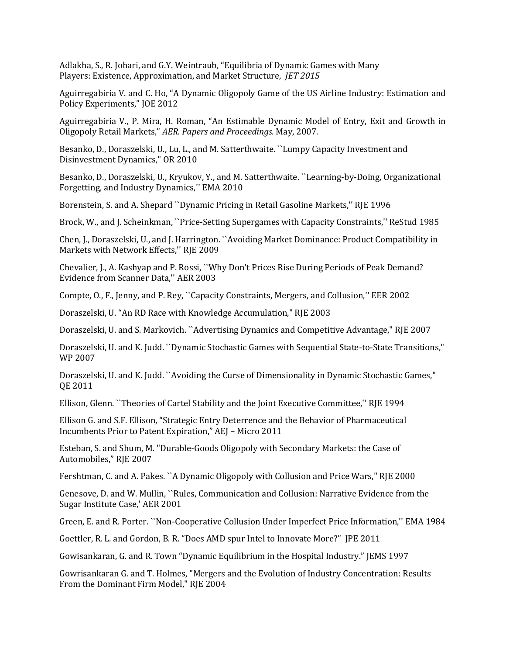Adlakha, S., R. Johari, and G.Y. Weintraub, "[Equilibria of Dynamic Games with Many](http://www.columbia.edu/~gyw2105/GYW/GabrielWeintraub_files/JET%20Version%20Pub.pdf)  Players: [Existence, Approximation, and Market Structure,](http://www.columbia.edu/~gyw2105/GYW/GabrielWeintraub_files/JET%20Version%20Pub.pdf) *JET 2015*

Aguirregabiria V. and C. Ho, "A Dynamic Oligopoly Game of the US Airline Industry: Estimation and Policy Experiments," JOE 2012

Aguirregabiria V., P. Mira, H. Roman, "An Estimable Dynamic Model of Entry, Exit and Growth in Oligopoly Retail Markets," *AER. Papers and Proceedings.* May, 2007.

Besanko, D., Doraszelski, U., Lu, L., and M. Satterthwaite. ``Lumpy Capacity Investment and Disinvestment Dynamics," OR 2010

Besanko, D., Doraszelski, U., Kryukov, Y., and M. Satterthwaite. ``Learning-by-Doing, Organizational Forgetting, and Industry Dynamics,'' EMA 2010

Borenstein, S. and A. Shepard ``Dynamic Pricing in Retail Gasoline Markets,'' RJE 1996

Brock, W., and J. Scheinkman, ``Price-Setting Supergames with Capacity Constraints,'' ReStud 1985

Chen, J., Doraszelski, U., and J. Harrington. ``Avoiding Market Dominance: Product Compatibility in Markets with Network Effects,'' RJE 2009

Chevalier, J., A. Kashyap and P. Rossi, ``Why Don't Prices Rise During Periods of Peak Demand? Evidence from Scanner Data,'' AER 2003

Compte, O., F., Jenny, and P. Rey, ``Capacity Constraints, Mergers, and Collusion,'' EER 2002

Doraszelski, U. "An RD Race with Knowledge Accumulation," RJE 2003

Doraszelski, U. and S. Markovich. ``Advertising Dynamics and Competitive Advantage," RJE 2007

Doraszelski, U. and K. Judd. ``Dynamic Stochastic Games with Sequential State-to-State Transitions," WP 2007

Doraszelski, U. and K. Judd. ``Avoiding the Curse of Dimensionality in Dynamic Stochastic Games," QE 2011

Ellison, Glenn. ``Theories of Cartel Stability and the Joint Executive Committee,'' RJE 1994

Ellison G. and S.F. Ellison, "Strategic Entry Deterrence and the Behavior of Pharmaceutical Incumbents Prior to Patent Expiration," AEJ – Micro 2011

Esteban, S. and Shum, M. "Durable-Goods Oligopoly with Secondary Markets: the Case of Automobiles," RJE 2007

Fershtman, C. and A. Pakes. ``A Dynamic Oligopoly with Collusion and Price Wars," RJE 2000

Genesove, D. and W. Mullin, ``Rules, Communication and Collusion: Narrative Evidence from the Sugar Institute Case,' AER 2001

Green, E. and R. Porter. ``Non-Cooperative Collusion Under Imperfect Price Information,'' EMA 1984

Goettler, R. L. and Gordon, B. R. "Does AMD spur Intel to Innovate More?" JPE 2011

Gowisankaran, G. and R. Town "Dynamic Equilibrium in the Hospital Industry." JEMS 1997

Gowrisankaran G. and T. Holmes, "Mergers and the Evolution of Industry Concentration: Results From the Dominant Firm Model," RJE 2004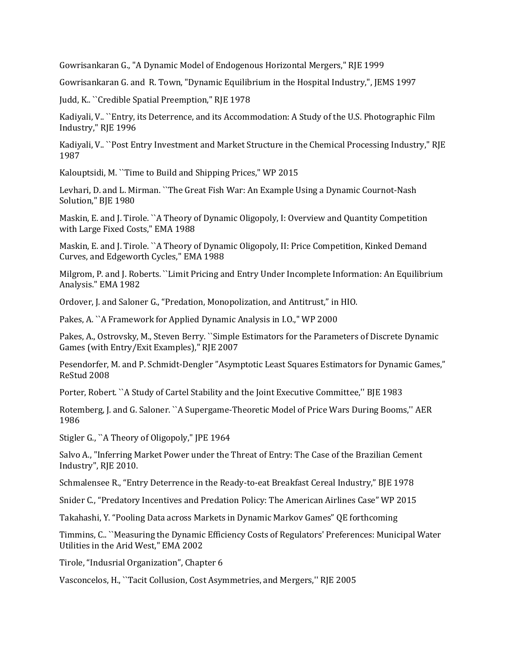Gowrisankaran G., "A Dynamic Model of Endogenous Horizontal Mergers," RJE 1999

Gowrisankaran G. and R. Town, "Dynamic Equilibrium in the Hospital Industry,", JEMS 1997

Judd, K.. ``Credible Spatial Preemption," RJE 1978

Kadiyali, V.. ``Entry, its Deterrence, and its Accommodation: A Study of the U.S. Photographic Film Industry," RJE 1996

Kadiyali, V.. ``Post Entry Investment and Market Structure in the Chemical Processing Industry," RJE 1987

Kalouptsidi, M. ``Time to Build and Shipping Prices," WP 2015

Levhari, D. and L. Mirman. ``The Great Fish War: An Example Using a Dynamic Cournot-Nash Solution," BJE 1980

Maskin, E. and J. Tirole. ``A Theory of Dynamic Oligopoly, I: Overview and Quantity Competition with Large Fixed Costs," EMA 1988

Maskin, E. and J. Tirole. ``A Theory of Dynamic Oligopoly, II: Price Competition, Kinked Demand Curves, and Edgeworth Cycles," EMA 1988

Milgrom, P. and J. Roberts. ``Limit Pricing and Entry Under Incomplete Information: An Equilibrium Analysis." EMA 1982

Ordover, J. and Saloner G., "Predation, Monopolization, and Antitrust," in HIO.

Pakes, A. ``A Framework for Applied Dynamic Analysis in I.O.," WP 2000

Pakes, A., Ostrovsky, M., Steven Berry. ``Simple Estimators for the Parameters of Discrete Dynamic Games (with Entry/Exit Examples)," RJE 2007

Pesendorfer, M. and P. Schmidt-Dengler "Asymptotic Least Squares Estimators for Dynamic Games," ReStud 2008

Porter, Robert. ``A Study of Cartel Stability and the Joint Executive Committee,'' BJE 1983

Rotemberg, J. and G. Saloner. ``A Supergame-Theoretic Model of Price Wars During Booms,'' AER 1986

Stigler G., "A Theory of Oligopoly," JPE 1964

Salvo A., "Inferring Market Power under the Threat of Entry: The Case of the Brazilian Cement Industry", RJE 2010.

Schmalensee R., "Entry Deterrence in the Ready-to-eat Breakfast Cereal Industry," BJE 1978

Snider C., "Predatory Incentives and Predation Policy: The American Airlines Case" WP 2015

Takahashi, Y. "Pooling Data across Markets in Dynamic Markov Games" QE forthcoming

Timmins, C.. ``Measuring the Dynamic Efficiency Costs of Regulators' Preferences: Municipal Water Utilities in the Arid West," EMA 2002

Tirole, "Indusrial Organization", Chapter 6

Vasconcelos, H., ``Tacit Collusion, Cost Asymmetries, and Mergers,'' RJE 2005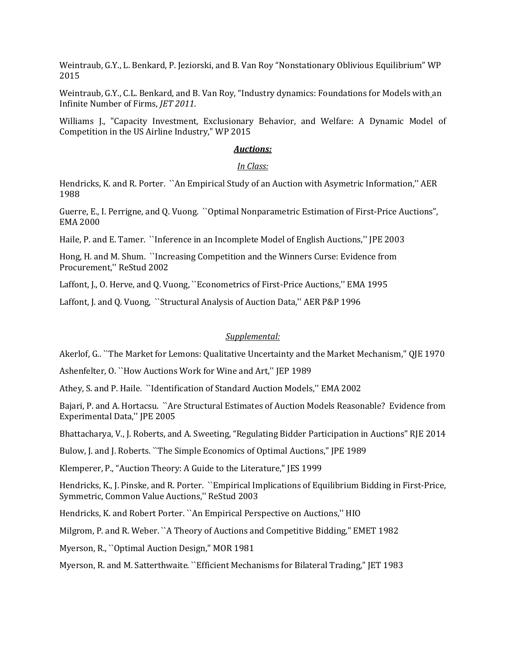Weintraub, G.Y., L. Benkard, P. Jeziorski, and B. Van Roy "[Nonstationary Oblivious Equilibrium](http://www.columbia.edu/~gyw2105/GYW/GabrielWeintraub_files/NonstatOE081119.pdf)" WP 2015

Weintraub, G.Y., C.L. Benkard, and B. Van Roy, "Industry dynamics: Foundations for Models with an Infinite Number of Firms, *JET 2011*.

Williams J., "Capacity Investment, Exclusionary Behavior, and Welfare: A Dynamic Model of Competition in the US Airline Industry," WP 2015

#### *Auctions:*

#### *In Class:*

Hendricks, K. and R. Porter. ``An Empirical Study of an Auction with Asymetric Information,'' AER 1988

Guerre, E., I. Perrigne, and Q. Vuong. ``Optimal Nonparametric Estimation of First-Price Auctions", EMA 2000

Haile, P. and E. Tamer. ``Inference in an Incomplete Model of English Auctions,'' JPE 2003

Hong, H. and M. Shum. ``Increasing Competition and the Winners Curse: Evidence from Procurement,'' ReStud 2002

Laffont, J., O. Herve, and Q. Vuong, "Econometrics of First-Price Auctions," EMA 1995

Laffont, J. and Q. Vuong, ``Structural Analysis of Auction Data,'' AER P&P 1996

### *Supplemental:*

Akerlof, G.. ``The Market for Lemons: Qualitative Uncertainty and the Market Mechanism," QJE 1970

Ashenfelter, O. ``How Auctions Work for Wine and Art,'' JEP 1989

Athey, S. and P. Haile. ``Identification of Standard Auction Models,'' EMA 2002

Bajari, P. and A. Hortacsu. ``Are Structural Estimates of Auction Models Reasonable? Evidence from Experimental Data,'' JPE 2005

Bhattacharya, V., J. Roberts, and A. Sweeting, "Regulating Bidder Participation in Auctions" RJE 2014

Bulow, J. and J. Roberts. ``The Simple Economics of Optimal Auctions," JPE 1989

Klemperer, P., "Auction Theory: A Guide to the Literature," JES 1999

Hendricks, K., J. Pinske, and R. Porter. ``Empirical Implications of Equilibrium Bidding in First-Price, Symmetric, Common Value Auctions,'' ReStud 2003

Hendricks, K. and Robert Porter. ``An Empirical Perspective on Auctions,'' HIO

Milgrom, P. and R. Weber. ``A Theory of Auctions and Competitive Bidding," EMET 1982

Myerson, R., ``Optimal Auction Design," MOR 1981

Myerson, R. and M. Satterthwaite. ``Efficient Mechanisms for Bilateral Trading," JET 1983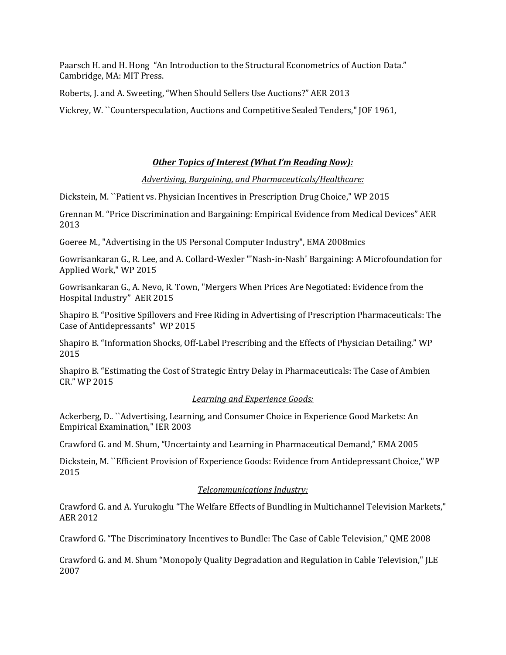Paarsch H. and H. Hong "An Introduction to the Structural Econometrics of Auction Data." Cambridge, MA: MIT Press.

Roberts, J. and A. Sweeting, "When Should Sellers Use Auctions?" AER 2013

Vickrey, W. ``Counterspeculation, Auctions and Competitive Sealed Tenders," JOF 1961,

## *Other Topics of Interest (What I'm Reading Now):*

*Advertising, Bargaining, and Pharmaceuticals/Healthcare:*

Dickstein, M. ``Patient vs. Physician Incentives in Prescription Drug Choice," WP 2015

Grennan M. "Price Discrimination and Bargaining: Empirical Evidence from Medical Devices" AER 2013

Goeree M., "Advertising in the US Personal Computer Industry", EMA 2008mics

Gowrisankaran G., R. Lee, and A. Collard-Wexler "'Nash-in-Nash' Bargaining: A Microfoundation for Applied Work," WP 2015

Gowrisankaran G., A. Nevo, R. Town, "Mergers When Prices Are Negotiated: Evidence from the Hospital Industry" AER 2015

Shapiro B. "Positive Spillovers and Free Riding in Advertising of Prescription Pharmaceuticals: The Case of Antidepressants" WP 2015

Shapiro B. "Information Shocks, Off-Label Prescribing and the Effects of Physician Detailing." WP 2015

Shapiro B. "Estimating the Cost of Strategic Entry Delay in Pharmaceuticals: The Case of Ambien CR." WP 2015

### *Learning and Experience Goods:*

Ackerberg, D.. ``Advertising, Learning, and Consumer Choice in Experience Good Markets: An Empirical Examination," IER 2003

Crawford G. and M. Shum, "Uncertainty and Learning in Pharmaceutical Demand," EMA 2005

Dickstein, M. ``Efficient Provision of Experience Goods: Evidence from Antidepressant Choice," WP 2015

## *Telcommunications Industry:*

Crawford G. and A. Yurukoglu "The Welfare Effects of Bundling in Multichannel Television Markets," AER 2012

Crawford G. "The Discriminatory Incentives to Bundle: The Case of Cable Television," QME 2008

Crawford G. and M. Shum "Monopoly Quality Degradation and Regulation in Cable Television," JLE 2007